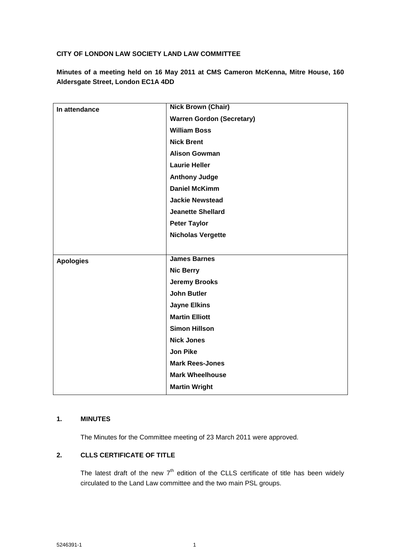## **CITY OF LONDON LAW SOCIETY LAND LAW COMMITTEE**

**Minutes of a meeting held on 16 May 2011 at CMS Cameron McKenna, Mitre House, 160 Aldersgate Street, London EC1A 4DD**

| In attendance    | <b>Nick Brown (Chair)</b>        |
|------------------|----------------------------------|
|                  | <b>Warren Gordon (Secretary)</b> |
|                  | <b>William Boss</b>              |
|                  | <b>Nick Brent</b>                |
|                  | <b>Alison Gowman</b>             |
|                  | <b>Laurie Heller</b>             |
|                  | <b>Anthony Judge</b>             |
|                  | <b>Daniel McKimm</b>             |
|                  | <b>Jackie Newstead</b>           |
|                  | <b>Jeanette Shellard</b>         |
|                  | <b>Peter Taylor</b>              |
|                  | <b>Nicholas Vergette</b>         |
|                  |                                  |
| <b>Apologies</b> | <b>James Barnes</b>              |
|                  | <b>Nic Berry</b>                 |
|                  | <b>Jeremy Brooks</b>             |
|                  | <b>John Butler</b>               |
|                  | <b>Jayne Elkins</b>              |
|                  | <b>Martin Elliott</b>            |
|                  | <b>Simon Hillson</b>             |
|                  | <b>Nick Jones</b>                |
|                  | <b>Jon Pike</b>                  |
|                  | <b>Mark Rees-Jones</b>           |
|                  | <b>Mark Wheelhouse</b>           |
|                  | <b>Martin Wright</b>             |
|                  |                                  |

# **1. MINUTES**

The Minutes for the Committee meeting of 23 March 2011 were approved.

# **2. CLLS CERTIFICATE OF TITLE**

The latest draft of the new  $7<sup>th</sup>$  edition of the CLLS certificate of title has been widely circulated to the Land Law committee and the two main PSL groups.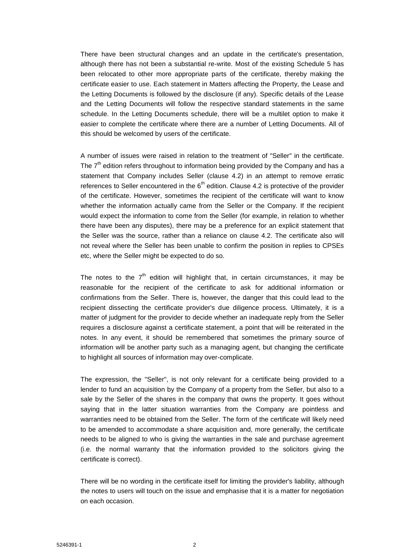There have been structural changes and an update in the certificate's presentation, although there has not been a substantial re-write. Most of the existing Schedule 5 has been relocated to other more appropriate parts of the certificate, thereby making the certificate easier to use. Each statement in Matters affecting the Property, the Lease and the Letting Documents is followed by the disclosure (if any). Specific details of the Lease and the Letting Documents will follow the respective standard statements in the same schedule. In the Letting Documents schedule, there will be a multilet option to make it easier to complete the certificate where there are a number of Letting Documents. All of this should be welcomed by users of the certificate.

A number of issues were raised in relation to the treatment of "Seller" in the certificate. The  $7<sup>th</sup>$  edition refers throughout to information being provided by the Company and has a statement that Company includes Seller (clause 4.2) in an attempt to remove erratic references to Seller encountered in the  $6<sup>th</sup>$  edition. Clause 4.2 is protective of the provider of the certificate. However, sometimes the recipient of the certificate will want to know whether the information actually came from the Seller or the Company. If the recipient would expect the information to come from the Seller (for example, in relation to whether there have been any disputes), there may be a preference for an explicit statement that the Seller was the source, rather than a reliance on clause 4.2. The certificate also will not reveal where the Seller has been unable to confirm the position in replies to CPSEs etc, where the Seller might be expected to do so.

The notes to the  $7<sup>th</sup>$  edition will highlight that, in certain circumstances, it may be reasonable for the recipient of the certificate to ask for additional information or confirmations from the Seller. There is, however, the danger that this could lead to the recipient dissecting the certificate provider's due diligence process. Ultimately, it is a matter of judgment for the provider to decide whether an inadequate reply from the Seller requires a disclosure against a certificate statement, a point that will be reiterated in the notes. In any event, it should be remembered that sometimes the primary source of information will be another party such as a managing agent, but changing the certificate to highlight all sources of information may over-complicate.

The expression, the "Seller", is not only relevant for a certificate being provided to a lender to fund an acquisition by the Company of a property from the Seller, but also to a sale by the Seller of the shares in the company that owns the property. It goes without saying that in the latter situation warranties from the Company are pointless and warranties need to be obtained from the Seller. The form of the certificate will likely need to be amended to accommodate a share acquisition and, more generally, the certificate needs to be aligned to who is giving the warranties in the sale and purchase agreement (i.e. the normal warranty that the information provided to the solicitors giving the certificate is correct).

There will be no wording in the certificate itself for limiting the provider's liability, although the notes to users will touch on the issue and emphasise that it is a matter for negotiation on each occasion.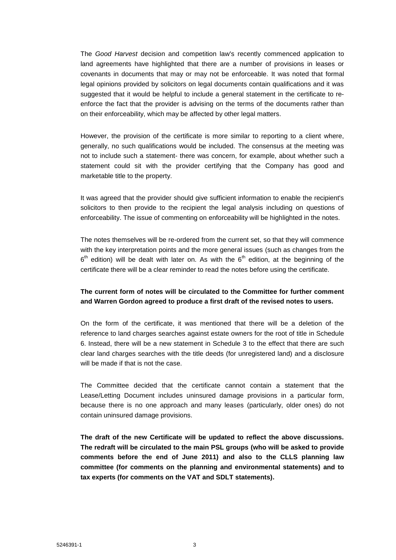The *Good Harvest* decision and competition law's recently commenced application to land agreements have highlighted that there are a number of provisions in leases or covenants in documents that may or may not be enforceable. It was noted that formal legal opinions provided by solicitors on legal documents contain qualifications and it was suggested that it would be helpful to include a general statement in the certificate to reenforce the fact that the provider is advising on the terms of the documents rather than on their enforceability, which may be affected by other legal matters.

However, the provision of the certificate is more similar to reporting to a client where, generally, no such qualifications would be included. The consensus at the meeting was not to include such a statement- there was concern, for example, about whether such a statement could sit with the provider certifying that the Company has good and marketable title to the property.

It was agreed that the provider should give sufficient information to enable the recipient's solicitors to then provide to the recipient the legal analysis including on questions of enforceability. The issue of commenting on enforceability will be highlighted in the notes.

The notes themselves will be re-ordered from the current set, so that they will commence with the key interpretation points and the more general issues (such as changes from the  $6<sup>th</sup>$  edition) will be dealt with later on. As with the  $6<sup>th</sup>$  edition, at the beginning of the certificate there will be a clear reminder to read the notes before using the certificate.

## **The current form of notes will be circulated to the Committee for further comment and Warren Gordon agreed to produce a first draft of the revised notes to users.**

On the form of the certificate, it was mentioned that there will be a deletion of the reference to land charges searches against estate owners for the root of title in Schedule 6. Instead, there will be a new statement in Schedule 3 to the effect that there are such clear land charges searches with the title deeds (for unregistered land) and a disclosure will be made if that is not the case.

The Committee decided that the certificate cannot contain a statement that the Lease/Letting Document includes uninsured damage provisions in a particular form, because there is no one approach and many leases (particularly, older ones) do not contain uninsured damage provisions.

**The draft of the new Certificate will be updated to reflect the above discussions. The redraft will be circulated to the main PSL groups (who will be asked to provide comments before the end of June 2011) and also to the CLLS planning law committee (for comments on the planning and environmental statements) and to tax experts (for comments on the VAT and SDLT statements).**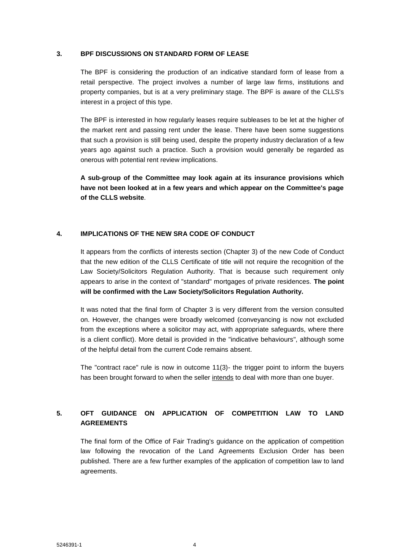#### **3. BPF DISCUSSIONS ON STANDARD FORM OF LEASE**

The BPF is considering the production of an indicative standard form of lease from a retail perspective. The project involves a number of large law firms, institutions and property companies, but is at a very preliminary stage. The BPF is aware of the CLLS's interest in a project of this type.

The BPF is interested in how regularly leases require subleases to be let at the higher of the market rent and passing rent under the lease. There have been some suggestions that such a provision is still being used, despite the property industry declaration of a few years ago against such a practice. Such a provision would generally be regarded as onerous with potential rent review implications.

**A sub-group of the Committee may look again at its insurance provisions which have not been looked at in a few years and which appear on the Committee's page of the CLLS website**.

### **4. IMPLICATIONS OF THE NEW SRA CODE OF CONDUCT**

It appears from the conflicts of interests section (Chapter 3) of the new Code of Conduct that the new edition of the CLLS Certificate of title will not require the recognition of the Law Society/Solicitors Regulation Authority. That is because such requirement only appears to arise in the context of "standard" mortgages of private residences. **The point will be confirmed with the Law Society/Solicitors Regulation Authority.**

It was noted that the final form of Chapter 3 is very different from the version consulted on. However, the changes were broadly welcomed (conveyancing is now not excluded from the exceptions where a solicitor may act, with appropriate safeguards, where there is a client conflict). More detail is provided in the "indicative behaviours", although some of the helpful detail from the current Code remains absent.

The "contract race" rule is now in outcome 11(3)- the trigger point to inform the buyers has been brought forward to when the seller intends to deal with more than one buyer.

# **5. OFT GUIDANCE ON APPLICATION OF COMPETITION LAW TO LAND AGREEMENTS**

The final form of the Office of Fair Trading's guidance on the application of competition law following the revocation of the Land Agreements Exclusion Order has been published. There are a few further examples of the application of competition law to land agreements.